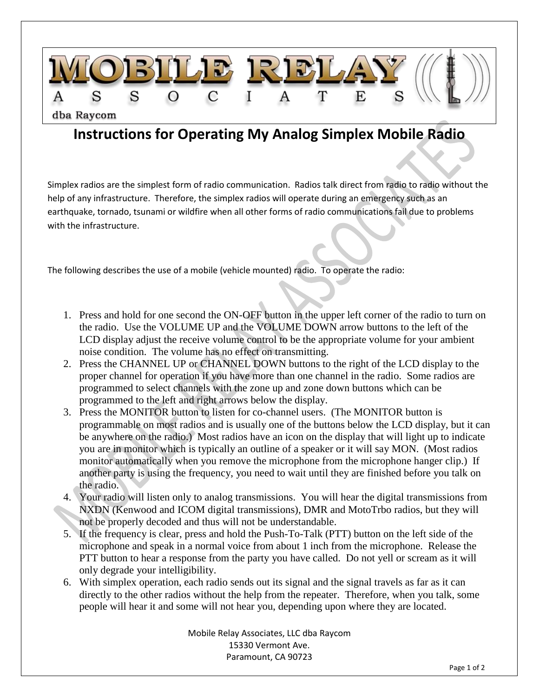

## **Instructions for Operating My Analog Simplex Mobile Radio**

Simplex radios are the simplest form of radio communication. Radios talk direct from radio to radio without the help of any infrastructure. Therefore, the simplex radios will operate during an emergency such as an earthquake, tornado, tsunami or wildfire when all other forms of radio communications fail due to problems with the infrastructure.

The following describes the use of a mobile (vehicle mounted) radio. To operate the radio:

- 1. Press and hold for one second the ON-OFF button in the upper left corner of the radio to turn on the radio. Use the VOLUME UP and the VOLUME DOWN arrow buttons to the left of the LCD display adjust the receive volume control to be the appropriate volume for your ambient noise condition. The volume has no effect on transmitting.
- 2. Press the CHANNEL UP or CHANNEL DOWN buttons to the right of the LCD display to the proper channel for operation if you have more than one channel in the radio. Some radios are programmed to select channels with the zone up and zone down buttons which can be programmed to the left and right arrows below the display.
- 3. Press the MONITOR button to listen for co-channel users. (The MONITOR button is programmable on most radios and is usually one of the buttons below the LCD display, but it can be anywhere on the radio.) Most radios have an icon on the display that will light up to indicate you are in monitor which is typically an outline of a speaker or it will say MON. (Most radios monitor automatically when you remove the microphone from the microphone hanger clip.) If another party is using the frequency, you need to wait until they are finished before you talk on the radio.
- 4. Your radio will listen only to analog transmissions. You will hear the digital transmissions from NXDN (Kenwood and ICOM digital transmissions), DMR and MotoTrbo radios, but they will not be properly decoded and thus will not be understandable.
- 5. If the frequency is clear, press and hold the Push-To-Talk (PTT) button on the left side of the microphone and speak in a normal voice from about 1 inch from the microphone. Release the PTT button to hear a response from the party you have called. Do not yell or scream as it will only degrade your intelligibility.
- 6. With simplex operation, each radio sends out its signal and the signal travels as far as it can directly to the other radios without the help from the repeater. Therefore, when you talk, some people will hear it and some will not hear you, depending upon where they are located.

Mobile Relay Associates, LLC dba Raycom 15330 Vermont Ave. Paramount, CA 90723